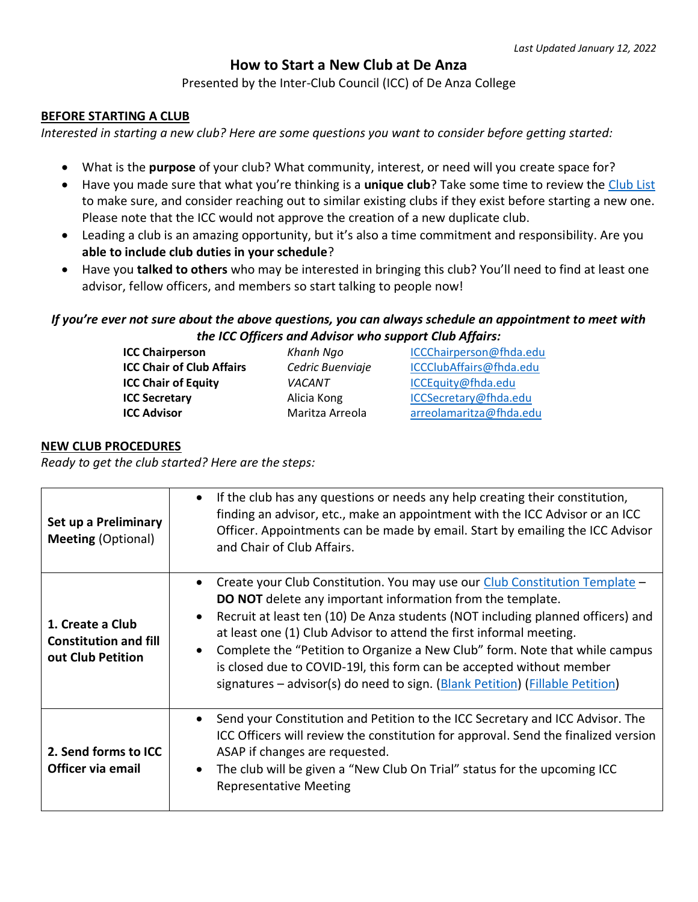# **How to Start a New Club at De Anza**

Presented by the Inter-Club Council (ICC) of De Anza College

#### **BEFORE STARTING A CLUB**

*Interested in starting a new club? Here are some questions you want to consider before getting started:*

- What is the **purpose** of your club? What community, interest, or need will you create space for?
- Have you made sure that what you're thinking is a **unique club**? Take some time to review the [Club List](https://www.deanza.edu/clubs/club-list.html) to make sure, and consider reaching out to similar existing clubs if they exist before starting a new one. Please note that the ICC would not approve the creation of a new duplicate club.
- Leading a club is an amazing opportunity, but it's also a time commitment and responsibility. Are you **able to include club duties in your schedule**?
- Have you **talked to others** who may be interested in bringing this club? You'll need to find at least one advisor, fellow officers, and members so start talking to people now!

### *If you're ever not sure about the above questions, you can always schedule an appointment to meet with the ICC Officers and Advisor who support Club Affairs:*

| Khanh Ngo        | ICCChairperson@fhda.edu |
|------------------|-------------------------|
| Cedric Buenviaje | ICCClubAffairs@fhda.edu |
| VACANT           | ICCEquity@fhda.edu      |
| Alicia Kong      | ICCSecretary@fhda.edu   |
| Maritza Arreola  | arreolamaritza@fhda.edu |
|                  |                         |

#### **NEW CLUB PROCEDURES**

*Ready to get the club started? Here are the steps:*

| Set up a Preliminary<br><b>Meeting (Optional)</b>                     | If the club has any questions or needs any help creating their constitution,<br>finding an advisor, etc., make an appointment with the ICC Advisor or an ICC<br>Officer. Appointments can be made by email. Start by emailing the ICC Advisor<br>and Chair of Club Affairs.                                                                                                                                                                                                                                                                        |
|-----------------------------------------------------------------------|----------------------------------------------------------------------------------------------------------------------------------------------------------------------------------------------------------------------------------------------------------------------------------------------------------------------------------------------------------------------------------------------------------------------------------------------------------------------------------------------------------------------------------------------------|
| 1. Create a Club<br><b>Constitution and fill</b><br>out Club Petition | Create your Club Constitution. You may use our Club Constitution Template -<br><b>DO NOT</b> delete any important information from the template.<br>Recruit at least ten (10) De Anza students (NOT including planned officers) and<br>at least one (1) Club Advisor to attend the first informal meeting.<br>Complete the "Petition to Organize a New Club" form. Note that while campus<br>is closed due to COVID-19I, this form can be accepted without member<br>signatures – advisor(s) do need to sign. (Blank Petition) (Fillable Petition) |
| 2. Send forms to ICC<br>Officer via email                             | Send your Constitution and Petition to the ICC Secretary and ICC Advisor. The<br>ICC Officers will review the constitution for approval. Send the finalized version<br>ASAP if changes are requested.<br>The club will be given a "New Club On Trial" status for the upcoming ICC<br><b>Representative Meeting</b>                                                                                                                                                                                                                                 |